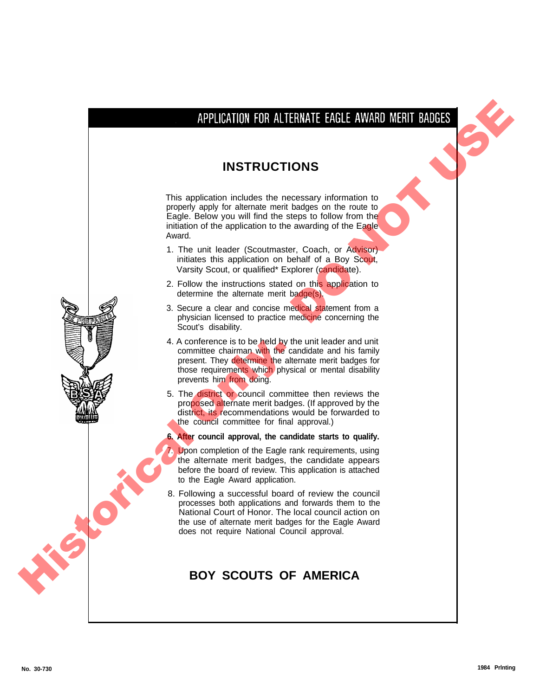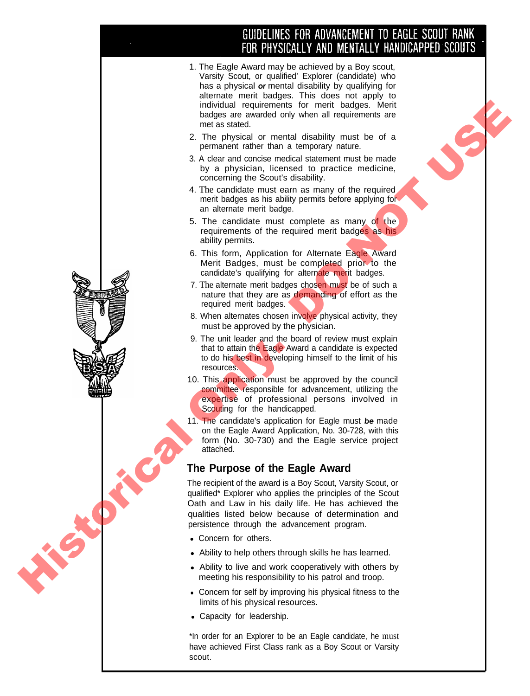# GUIDELINES FOR ADVANCEMENT TO EAGLE SCOUT RANK<br>FOR PHYSICALLY AND MENTALLY HANDICAPPED SCOUTS

- 1. The Eagle Award may be achieved by a Boy scout, Varsity Scout, or qualified' Explorer (candidate) who has a physical *or* mental disability by qualifying for alternate merit badges. This does not apply to individual requirements for merit badges. Merit badges are awarded only when all requirements are met as stated.
- 2. The physical or mental disability must be of a permanent rather than a temporary nature.
- 3. A clear and concise medical statement must be made by a physician, licensed to practice medicine, concerning the Scout's disability.
- 4. The candidate must earn as many of the required merit badges as his ability permits before applying for an alternate merit badge.
- 5. The candidate must complete as many of the requirements of the required merit badges as his ability permits.
- 6. This form, Application for Alternate Eagle Award Merit Badges, must be completed prior to the candidate's qualifying for alternate merit badges.
- 7. The alternate merit badges chosen must be of such a nature that they are as demanding of effort as the required merit badges.
- 8. When alternates chosen involve physical activity, they must be approved by the physician.
- 9. The unit leader and the board of review must explain that to attain the Eagle Award a candidate is expected to do his best in developing himself to the limit of his resources.
- 10. This application must be approved by the council committee responsible for advancement, utilizing the expertise of professional persons involved in Scouting for the handicapped.
- 11. The candidate's application for Eagle must *be* made on the Eagle Award Application, No. 30-728, with this form (No. 30-730) and the Eagle service project attached.

# **The Purpose of the Eagle Award**

The recipient of the award is a Boy Scout, Varsity Scout, or qualified\* Explorer who applies the principles of the Scout Oath and Law in his daily life. He has achieved the qualities listed below because of determination and persistence through the advancement program. modular to meet looking the properties of the methods of the methods of the state and details y multiple with the original of the state and details are not the methods of the methods of the methods of the methods of the m

- Concern for others.
- Ability to help others through skills he has learned.
- Ability to live and work cooperatively with others by meeting his responsibility to his patrol and troop.
- Concern for self by improving his physical fitness to the limits of his physical resources.
- Capacity for leadership.

\*In order for an Explorer to be an Eagle candidate, he must have achieved First Class rank as a Boy Scout or Varsity scout.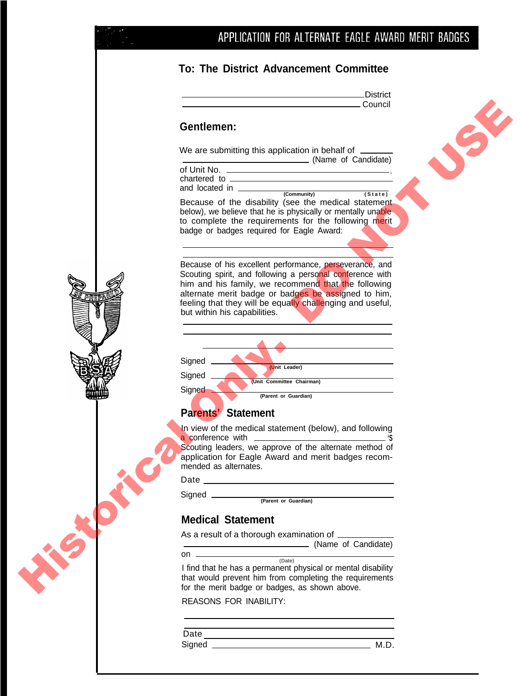# APPLICATION FOR ALTERNATE EAGLE AWARD MERIT BADGES **To: The District Advancement Committee District** Council<br>
Continues the second method in the second method of conditions<br>
The second method in the second method in the second method of conditions<br>
the second method in the second method in the second method method in<br>
the Council **Gentlemen:** We are submitting this application in behalf of  $\Box$ (Name of Candidate) of Unit No. chartered to and located in **(Community) (State)**  Because of the disability (see the medical statement below), we believe that he is physically or mentally unable to complete the requirements for the following merit badge or badges required for Eagle Award: Because of his excellent performance, perseverance, and Scouting spirit, and following a personal conference with him and his family, we recommend that the following alternate merit badge or badges be assigned to him, feeling that they will be equally challenging and useful, but within his capabilities. Signed **(Unit Leader)** Signed **(Unit Committee Chairman) Signed (Parent or Guardian) Parents' Statement** In view of the medical statement (below), and following **a** conference with **<u>examed a conference</u>** 'S Scouting leaders, we approve of the alternate method of application for Eagle Award and merit badges recommended as alternates. Date **(Parent or Guardian)** Signed \_ **Medical Statement** As a result of a thorough examination of  $\equiv$ (Name of Candidate) on  $\equiv$ (Date) I find that he has a permanent physical or mental disability that would prevent him from completing the requirements for the merit badge or badges, as shown above. REASONS FOR INABILITY:

| Date   |      |
|--------|------|
| Signed | 17 D |